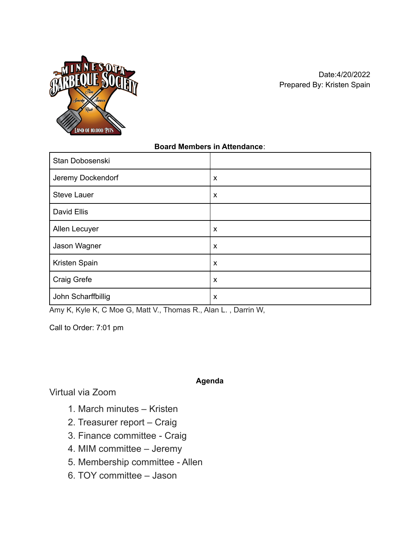

### **Board Members in Attendance**:

| Stan Dobosenski    |                           |
|--------------------|---------------------------|
| Jeremy Dockendorf  | X                         |
| <b>Steve Lauer</b> | $\boldsymbol{\mathsf{x}}$ |
| David Ellis        |                           |
| Allen Lecuyer      | $\boldsymbol{\mathsf{x}}$ |
| Jason Wagner       | $\boldsymbol{\mathsf{x}}$ |
| Kristen Spain      | X                         |
| Craig Grefe        | $\boldsymbol{\mathsf{x}}$ |
| John Scharffbillig | X                         |

Amy K, Kyle K, C Moe G, Matt V., Thomas R., Alan L. , Darrin W,

Call to Order: 7:01 pm

**Agenda**

Virtual via Zoom

- 1. March minutes Kristen
- 2. Treasurer report Craig
- 3. Finance committee Craig
- 4. MIM committee Jeremy
- 5. Membership committee Allen
- 6. TOY committee Jason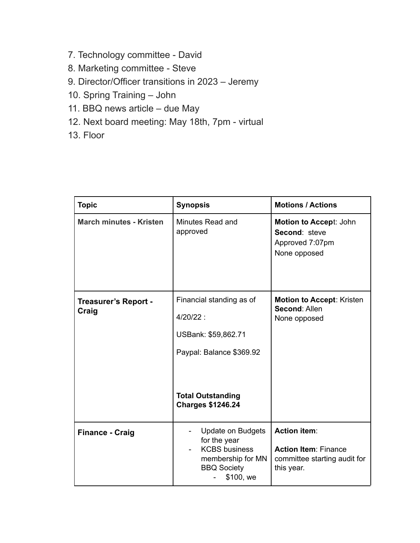- 7. Technology committee David
- 8. Marketing committee Steve
- 9. Director/Officer transitions in 2023 Jeremy
- 10. Spring Training John
- 11. BBQ news article due May
- 12. Next board meeting: May 18th, 7pm virtual
- 13. Floor

| <b>Topic</b>                         | <b>Synopsis</b>                                                                                                                                    | <b>Motions / Actions</b>                                                                         |
|--------------------------------------|----------------------------------------------------------------------------------------------------------------------------------------------------|--------------------------------------------------------------------------------------------------|
| <b>March minutes - Kristen</b>       | Minutes Read and<br>approved                                                                                                                       | Motion to Accept: John<br>Second: steve<br>Approved 7:07pm<br>None opposed                       |
| <b>Treasurer's Report -</b><br>Craig | Financial standing as of<br>$4/20/22$ :<br>USBank: \$59,862.71<br>Paypal: Balance \$369.92<br><b>Total Outstanding</b><br><b>Charges \$1246.24</b> | <b>Motion to Accept: Kristen</b><br>Second: Allen<br>None opposed                                |
| <b>Finance - Craig</b>               | Update on Budgets<br>for the year<br><b>KCBS</b> business<br>membership for MN<br><b>BBQ Society</b><br>\$100, we                                  | <b>Action item:</b><br><b>Action Item: Finance</b><br>committee starting audit for<br>this year. |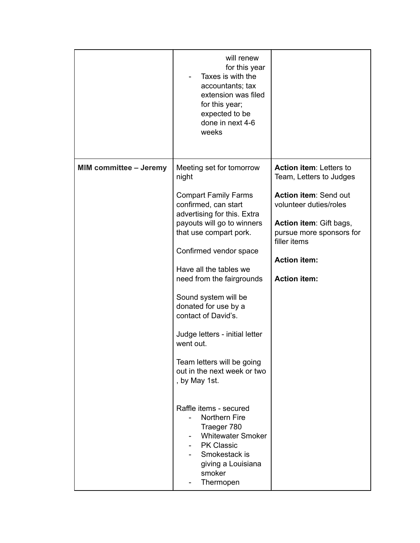| Taxes is with the<br>accountants; tax<br>extension was filed<br>for this year;<br>expected to be<br>done in next 4-6<br>weeks                                                                                                                                                                                                                                                                                                                                                                                                                                                                                                                                  |                                                                                                                                                                                                                            |
|----------------------------------------------------------------------------------------------------------------------------------------------------------------------------------------------------------------------------------------------------------------------------------------------------------------------------------------------------------------------------------------------------------------------------------------------------------------------------------------------------------------------------------------------------------------------------------------------------------------------------------------------------------------|----------------------------------------------------------------------------------------------------------------------------------------------------------------------------------------------------------------------------|
| <b>MIM committee - Jeremy</b><br>Meeting set for tomorrow<br>night<br><b>Compart Family Farms</b><br>confirmed, can start<br>advertising for this. Extra<br>payouts will go to winners<br>that use compart pork.<br>Confirmed vendor space<br>Have all the tables we<br>need from the fairgrounds<br>Sound system will be<br>donated for use by a<br>contact of David's.<br>Judge letters - initial letter<br>went out.<br>Team letters will be going<br>out in the next week or two<br>, by May 1st.<br>Raffle items - secured<br><b>Northern Fire</b><br>Traeger 780<br><b>Whitewater Smoker</b><br><b>PK Classic</b><br>Smokestack is<br>giving a Louisiana | Action item: Letters to<br>Team, Letters to Judges<br>Action item: Send out<br>volunteer duties/roles<br>Action item: Gift bags,<br>pursue more sponsors for<br>filler items<br><b>Action item:</b><br><b>Action item:</b> |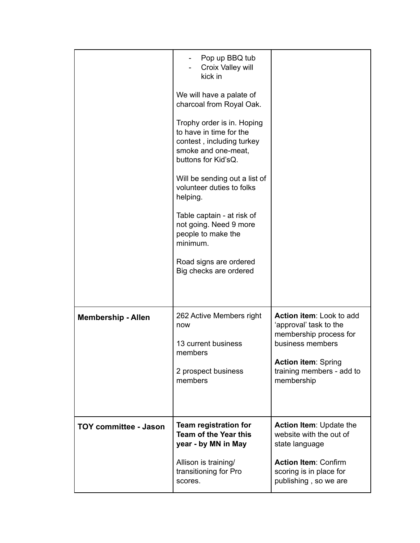|                              | Pop up BBQ tub<br>Croix Valley will<br>kick in<br>We will have a palate of<br>charcoal from Royal Oak.<br>Trophy order is in. Hoping<br>to have in time for the<br>contest, including turkey<br>smoke and one-meat,<br>buttons for Kid'sQ.<br>Will be sending out a list of<br>volunteer duties to folks<br>helping.<br>Table captain - at risk of<br>not going. Need 9 more<br>people to make the<br>minimum.<br>Road signs are ordered<br>Big checks are ordered |                                                                                                                                                                           |
|------------------------------|--------------------------------------------------------------------------------------------------------------------------------------------------------------------------------------------------------------------------------------------------------------------------------------------------------------------------------------------------------------------------------------------------------------------------------------------------------------------|---------------------------------------------------------------------------------------------------------------------------------------------------------------------------|
| <b>Membership - Allen</b>    | 262 Active Members right<br>now<br>13 current business<br>members<br>2 prospect business<br>members                                                                                                                                                                                                                                                                                                                                                                | Action item: Look to add<br>'approval' task to the<br>membership process for<br>business members<br><b>Action item: Spring</b><br>training members - add to<br>membership |
| <b>TOY committee - Jason</b> | Team registration for<br><b>Team of the Year this</b><br>year - by MN in May<br>Allison is training/<br>transitioning for Pro<br>scores.                                                                                                                                                                                                                                                                                                                           | <b>Action Item: Update the</b><br>website with the out of<br>state language<br><b>Action Item: Confirm</b><br>scoring is in place for<br>publishing, so we are            |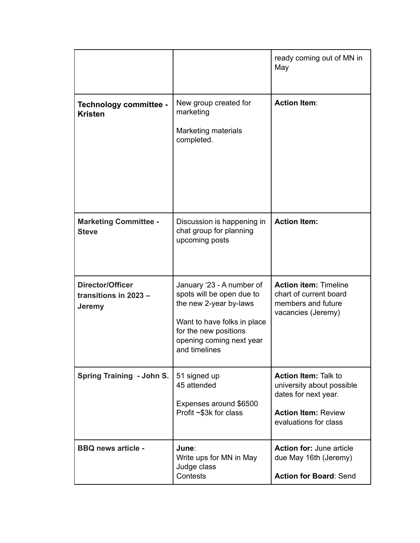|                                                            |                                                                                                                                                                                       | ready coming out of MN in<br>May                                                                                                        |
|------------------------------------------------------------|---------------------------------------------------------------------------------------------------------------------------------------------------------------------------------------|-----------------------------------------------------------------------------------------------------------------------------------------|
| Technology committee -<br><b>Kristen</b>                   | New group created for<br>marketing<br><b>Marketing materials</b><br>completed.                                                                                                        | <b>Action Item:</b>                                                                                                                     |
| <b>Marketing Committee -</b><br><b>Steve</b>               | Discussion is happening in<br>chat group for planning<br>upcoming posts                                                                                                               | <b>Action Item:</b>                                                                                                                     |
| <b>Director/Officer</b><br>transitions in 2023 -<br>Jeremy | January '23 - A number of<br>spots will be open due to<br>the new 2-year by-laws<br>Want to have folks in place<br>for the new positions<br>opening coming next year<br>and timelines | <b>Action item: Timeline</b><br>chart of current board<br>members and future<br>vacancies (Jeremy)                                      |
| Spring Training - John S.                                  | 51 signed up<br>45 attended<br>Expenses around \$6500<br>Profit ~\$3k for class                                                                                                       | <b>Action Item: Talk to</b><br>university about possible<br>dates for next year.<br><b>Action Item: Review</b><br>evaluations for class |
| <b>BBQ news article -</b>                                  | June:<br>Write ups for MN in May<br>Judge class<br>Contests                                                                                                                           | <b>Action for: June article</b><br>due May 16th (Jeremy)<br><b>Action for Board: Send</b>                                               |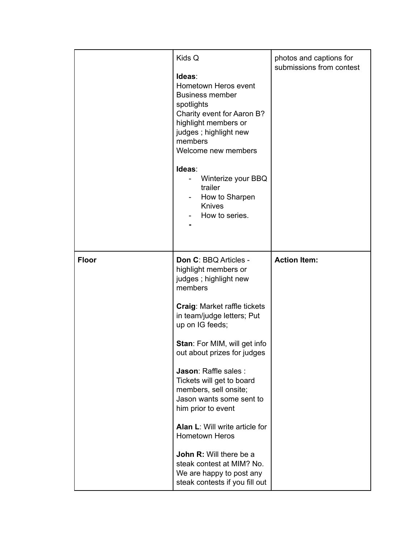|              | Kids Q<br>Ideas:<br>Hometown Heros event<br><b>Business member</b><br>spotlights<br>Charity event for Aaron B?<br>highlight members or<br>judges; highlight new<br>members<br>Welcome new members<br>Ideas:<br>Winterize your BBQ<br>$\overline{\phantom{a}}$<br>trailer<br>How to Sharpen<br>۰<br><b>Knives</b><br>How to series.                                                                                                                                                                                                                                       | photos and captions for<br>submissions from contest |
|--------------|--------------------------------------------------------------------------------------------------------------------------------------------------------------------------------------------------------------------------------------------------------------------------------------------------------------------------------------------------------------------------------------------------------------------------------------------------------------------------------------------------------------------------------------------------------------------------|-----------------------------------------------------|
| <b>Floor</b> | Don C: BBQ Articles -<br>highlight members or<br>judges; highlight new<br>members<br><b>Craig: Market raffle tickets</b><br>in team/judge letters; Put<br>up on IG feeds;<br>Stan: For MIM, will get info<br>out about prizes for judges<br>Jason: Raffle sales :<br>Tickets will get to board<br>members, sell onsite;<br>Jason wants some sent to<br>him prior to event<br><b>Alan L: Will write article for</b><br><b>Hometown Heros</b><br><b>John R: Will there be a</b><br>steak contest at MIM? No.<br>We are happy to post any<br>steak contests if you fill out | <b>Action Item:</b>                                 |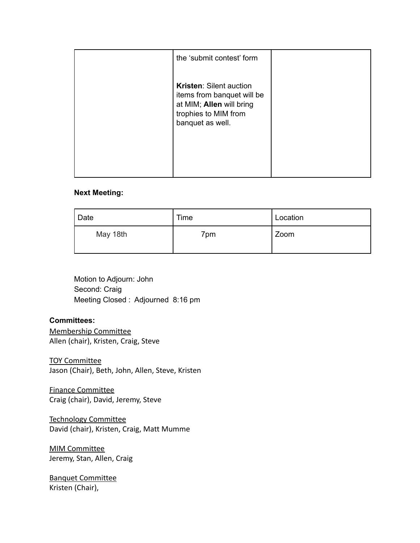| the 'submit contest' form                                                                                                            |  |
|--------------------------------------------------------------------------------------------------------------------------------------|--|
| <b>Kristen: Silent auction</b><br>items from banquet will be<br>at MIM; Allen will bring<br>trophies to MIM from<br>banquet as well. |  |
|                                                                                                                                      |  |

#### **Next Meeting:**

| Date     | Time | Location |
|----------|------|----------|
| May 18th | 7pm  | Zoom     |

Motion to Adjourn: John Second: Craig Meeting Closed : Adjourned 8:16 pm

#### **Committees:**

Membership Committee Allen (chair), Kristen, Craig, Steve

TOY Committee Jason (Chair), Beth, John, Allen, Steve, Kristen

Finance Committee Craig (chair), David, Jeremy, Steve

Technology Committee David (chair), Kristen, Craig, Matt Mumme

MIM Committee Jeremy, Stan, Allen, Craig

Banquet Committee Kristen (Chair),